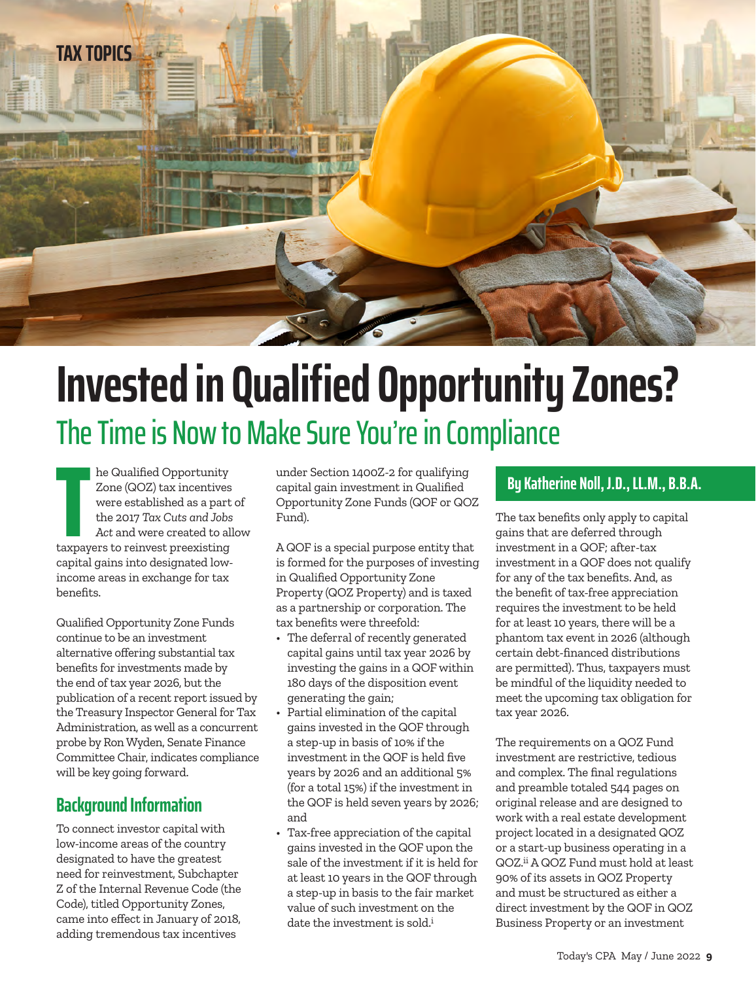

# **Invested in Qualified Opportunity Zones?**  The Time is Now to Make Sure You're in Compliance

**Example Solution Conserverse Section 14002-2 for qualifying<br>
Zone (QOZ) tax incentives capital gain investment in Qualified<br>
were established as a part of Opportunity Zone Funds (QOF or QOZ)<br>
the 2017 Tax Cuts and Jobs Fu** he Qualified Opportunity Zone (QOZ) tax incentives were established as a part of the 2017 *Tax Cuts and Jobs Act* and were created to allow taxpayers to reinvest preexisting capital gains into designated lowincome areas in exchange for tax benefits.

Qualified Opportunity Zone Funds continue to be an investment alternative offering substantial tax benefits for investments made by the end of tax year 2026, but the publication of a recent report issued by the Treasury Inspector General for Tax Administration, as well as a concurrent probe by Ron Wyden, Senate Finance Committee Chair, indicates compliance will be key going forward.

#### **Background Information**

To connect investor capital with low-income areas of the country designated to have the greatest need for reinvestment, Subchapter Z of the Internal Revenue Code (the Code), titled Opportunity Zones, came into effect in January of 2018, adding tremendous tax incentives

under Section 1400Z-2 for qualifying capital gain investment in Qualified Opportunity Zone Funds (QOF or QOZ Fund).

A QOF is a special purpose entity that is formed for the purposes of investing in Qualified Opportunity Zone Property (QOZ Property) and is taxed as a partnership or corporation. The tax benefits were threefold:

- The deferral of recently generated capital gains until tax year 2026 by investing the gains in a QOF within 180 days of the disposition event generating the gain;
- Partial elimination of the capital gains invested in the QOF through a step-up in basis of 10% if the investment in the QOF is held five years by 2026 and an additional 5% (for a total 15%) if the investment in the QOF is held seven years by 2026; and
- Tax-free appreciation of the capital gains invested in the QOF upon the sale of the investment if it is held for at least 10 years in the QOF through a step-up in basis to the fair market value of such investment on the date the investment is sold.<sup>i</sup>

The tax benefits only apply to capital gains that are deferred through investment in a QOF; after-tax investment in a QOF does not qualify for any of the tax benefits. And, as the benefit of tax-free appreciation requires the investment to be held for at least 10 years, there will be a phantom tax event in 2026 (although certain debt-financed distributions are permitted). Thus, taxpayers must be mindful of the liquidity needed to meet the upcoming tax obligation for tax year 2026.

The requirements on a QOZ Fund investment are restrictive, tedious and complex. The final regulations and preamble totaled 544 pages on original release and are designed to work with a real estate development project located in a designated QOZ or a start-up business operating in a QOZ.ii A QOZ Fund must hold at least 90% of its assets in QOZ Property and must be structured as either a direct investment by the QOF in QOZ Business Property or an investment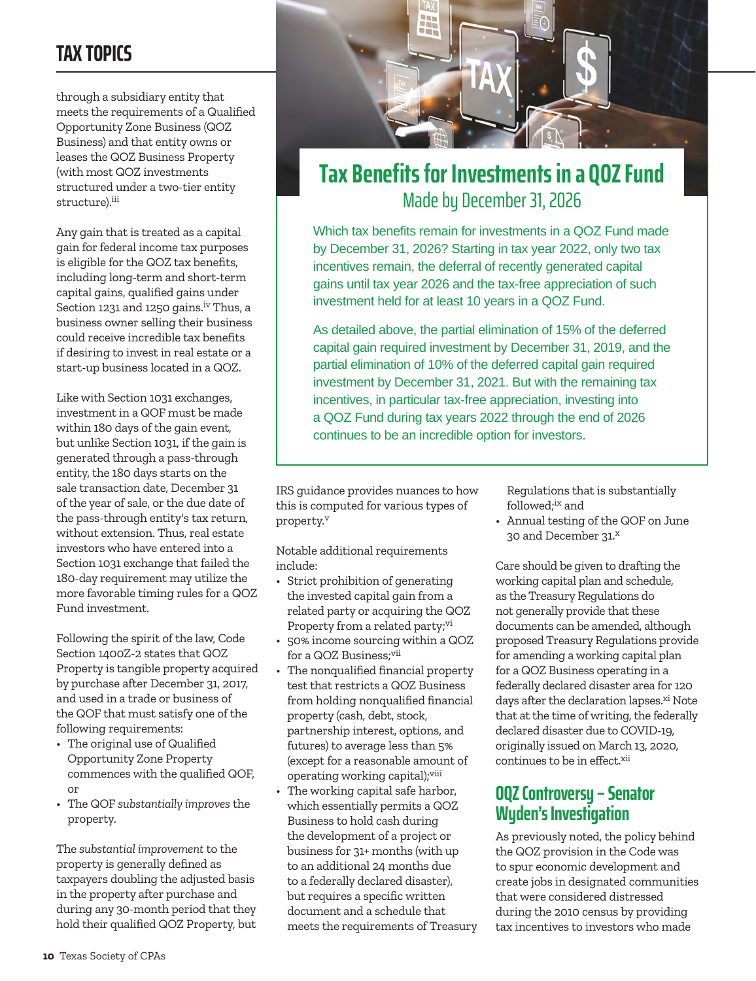### **TAX TOPICS**

through a subsidiary entity that meets the requirements of a Qualified Opportunity Zone Business (QOZ Business) and that entity owns or leases the QOZ Business Property (with most QOZ investments structured under a two-tier entity structure).iii

Any gain that is treated as a capital gain for federal income tax purposes is eligible for the QOZ tax benefits, including long-term and short-term capital gains, qualified gains under Section 1231 and 1250 gains.<sup>iv</sup> Thus, a business owner selling their business could receive incredible tax benefits if desiring to invest in real estate or a start-up business located in a QOZ.

Like with Section 1031 exchanges, investment in a QOF must be made within 180 days of the gain event, but unlike Section 1031, if the gain is generated through a pass-through entity, the 180 days starts on the sale transaction date, December 31 of the year of sale, or the due date of the pass-through entity's tax return, without extension. Thus, real estate investors who have entered into a Section 1031 exchange that failed the 180-day requirement may utilize the more favorable timing rules for a QOZ Fund investment.

Following the spirit of the law, Code Section 1400Z-2 states that QOZ Property is tangible property acquired by purchase after December 31, 2017, and used in a trade or business of the QOF that must satisfy one of the following requirements:

- The original use of Qualified Opportunity Zone Property commences with the qualified QOF, or
- The QOF *substantially improves* the property.

The *substantial improvement* to the property is generally defined as taxpayers doubling the adjusted basis in the property after purchase and during any 30-month period that they hold their qualified QOZ Property, but



### **Tax Benefits for Investments in a QOZ Fund**  Made by December 31, 2026

Which tax benefits remain for investments in a QOZ Fund made by December 31, 2026? Starting in tax year 2022, only two tax incentives remain, the deferral of recently generated capital gains until tax year 2026 and the tax-free appreciation of such investment held for at least 10 years in a QOZ Fund.

As detailed above, the partial elimination of 15% of the deferred capital gain required investment by December 31, 2019, and the partial elimination of 10% of the deferred capital gain required investment by December 31, 2021. But with the remaining tax incentives, in particular tax-free appreciation, investing into a QOZ Fund during tax years 2022 through the end of 2026 continues to be an incredible option for investors.

IRS guidance provides nuances to how this is computed for various types of property.v

Notable additional requirements include:

- Strict prohibition of generating the invested capital gain from a related party or acquiring the QOZ Property from a related party;<sup>vi</sup>
- 50% income sourcing within a QOZ for a QOZ Business;vii
- The nonqualified financial property test that restricts a QOZ Business from holding nonqualified financial property (cash, debt, stock, partnership interest, options, and futures) to average less than 5% (except for a reasonable amount of operating working capital);viii
- The working capital safe harbor, which essentially permits a QOZ Business to hold cash during the development of a project or business for 31+ months (with up to an additional 24 months due to a federally declared disaster), but requires a specific written document and a schedule that meets the requirements of Treasury

Regulations that is substantially followed;<sup>ix</sup> and

• Annual testing of the QOF on June 30 and December 31.<sup>x</sup>

Care should be given to drafting the working capital plan and schedule, as the Treasury Regulations do not generally provide that these documents can be amended, although proposed Treasury Regulations provide for amending a working capital plan for a QOZ Business operating in a federally declared disaster area for 120 days after the declaration lapses.<sup>xi</sup> Note that at the time of writing, the federally declared disaster due to COVID-19, originally issued on March 13, 2020, continues to be in effect.xii

#### **OQZ Controversy – Senator Wyden's Investigation**

As previously noted, the policy behind the QOZ provision in the Code was to spur economic development and create jobs in designated communities that were considered distressed during the 2010 census by providing tax incentives to investors who made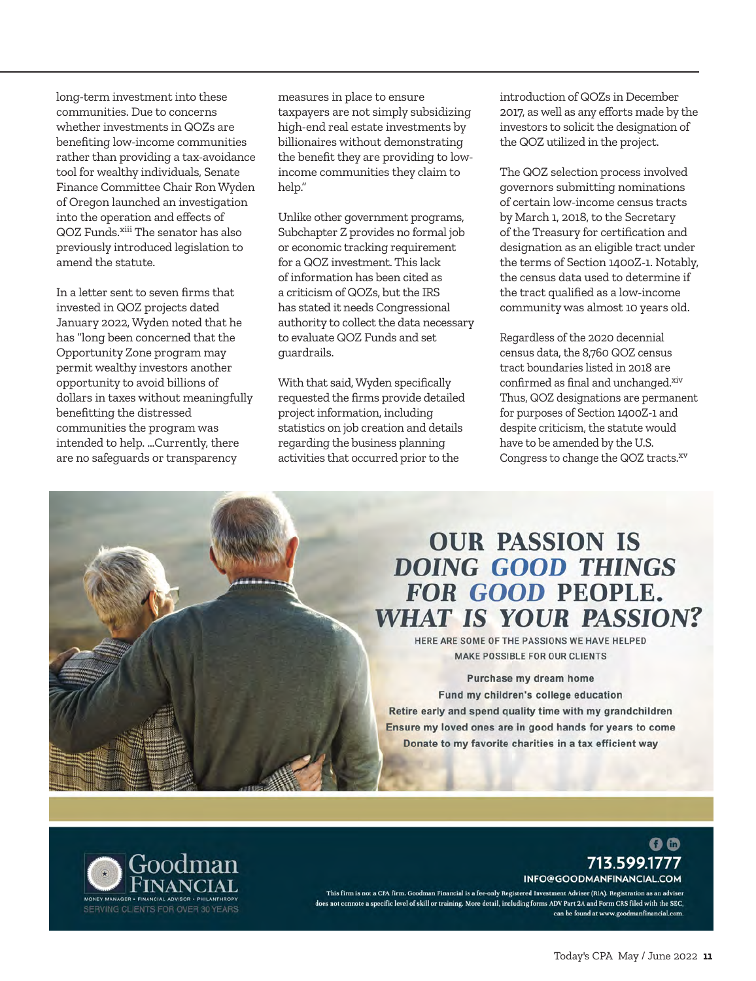long-term investment into these communities. Due to concerns whether investments in QOZs are benefiting low-income communities rather than providing a tax-avoidance tool for wealthy individuals, Senate Finance Committee Chair Ron Wyden of Oregon launched an investigation into the operation and effects of QOZ Funds.xiii The senator has also previously introduced legislation to amend the statute.

In a letter sent to seven firms that invested in QOZ projects dated January 2022, Wyden noted that he has "long been concerned that the Opportunity Zone program may permit wealthy investors another opportunity to avoid billions of dollars in taxes without meaningfully benefitting the distressed communities the program was intended to help. …Currently, there are no safeguards or transparency

measures in place to ensure taxpayers are not simply subsidizing high-end real estate investments by billionaires without demonstrating the benefit they are providing to lowincome communities they claim to help."

Unlike other government programs, Subchapter Z provides no formal job or economic tracking requirement for a QOZ investment. This lack of information has been cited as a criticism of QOZs, but the IRS has stated it needs Congressional authority to collect the data necessary to evaluate QOZ Funds and set guardrails.

With that said, Wyden specifically requested the firms provide detailed project information, including statistics on job creation and details regarding the business planning activities that occurred prior to the

introduction of QOZs in December 2017, as well as any efforts made by the investors to solicit the designation of the QOZ utilized in the project.

The QOZ selection process involved governors submitting nominations of certain low-income census tracts by March 1, 2018, to the Secretary of the Treasury for certification and designation as an eligible tract under the terms of Section 1400Z-1. Notably, the census data used to determine if the tract qualified as a low-income community was almost 10 years old.

Regardless of the 2020 decennial census data, the 8,760 QOZ census tract boundaries listed in 2018 are confirmed as final and unchanged.xiv Thus, QOZ designations are permanent for purposes of Section 1400Z-1 and despite criticism, the statute would have to be amended by the U.S. Congress to change the QOZ tracts.<sup>xv</sup>

### **OUR PASSION IS DOING GOOD THINGS FOR GOOD PEOPLE. WHAT IS YOUR PASSION?**

HERE ARE SOME OF THE PASSIONS WE HAVE HELPED **MAKE POSSIBLE FOR OUR CLIENTS** 

Purchase my dream home Fund my children's college education Retire early and spend quality time with my grandchildren Ensure my loved ones are in good hands for years to come Donate to my favorite charities in a tax efficient way



#### 0 Q 713.599.1777 INFO@GOODMANFINANCIAL.COM

This firm is not a CPA firm. Goodman Financial is a fee-only Registered Investment Adviser (RIA). Registration as an adviser does not connote a specific level of skill or training. More detail, including forms ADV Part 2A and Form CRS filed with the SEC, can be found at www.goodmanfinancial.com.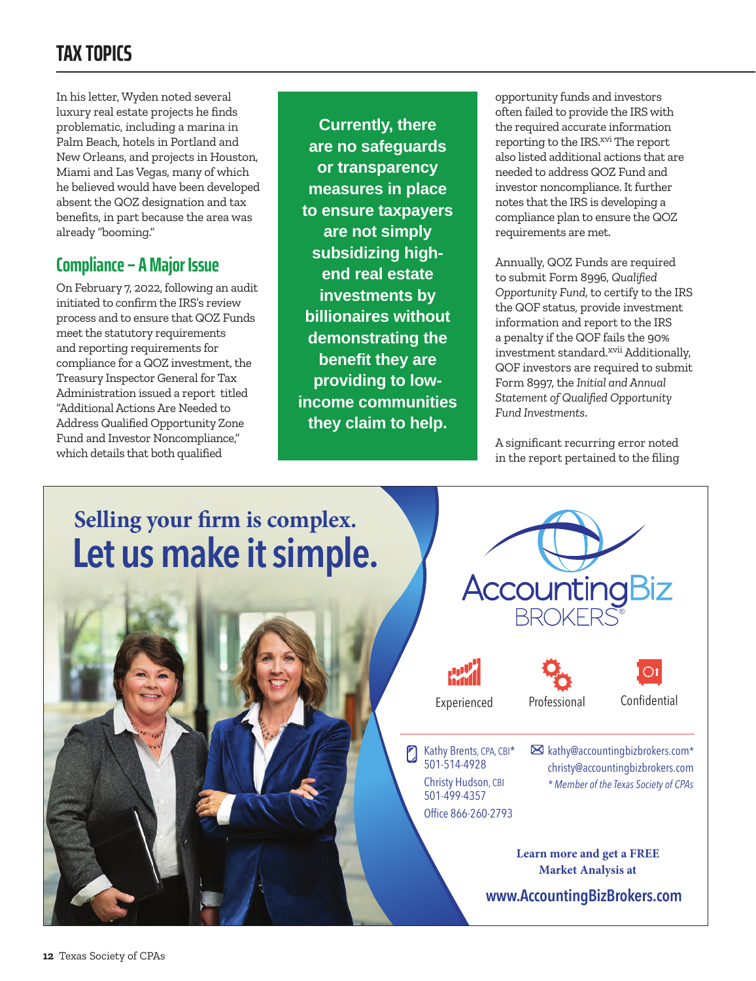### **TAX TOPICS**

In his letter, Wyden noted several luxury real estate projects he finds problematic, including a marina in Palm Beach, hotels in Portland and New Orleans, and projects in Houston, Miami and Las Vegas, many of which he believed would have been developed absent the QOZ designation and tax benefits, in part because the area was already "booming."

### **Compliance – A Major Issue**

On February 7, 2022, following an audit initiated to confirm the IRS's review process and to ensure that QOZ Funds meet the statutory requirements and reporting requirements for compliance for a QOZ investment, the Treasury Inspector General for Tax Administration issued a report titled "Additional Actions Are Needed to Address Qualified Opportunity Zone Fund and Investor Noncompliance," which details that both qualified

**Currently, there are no safeguards or transparency measures in place to ensure taxpayers are not simply subsidizing highend real estate investments by billionaires without demonstrating the benefit they are providing to lowincome communities they claim to help.**

opportunity funds and investors often failed to provide the IRS with the required accurate information reporting to the IRS.<sup>xvi</sup> The report also listed additional actions that are needed to address QOZ Fund and investor noncompliance. It further notes that the IRS is developing a compliance plan to ensure the QOZ requirements are met.

Annually, QOZ Funds are required to submit Form 8996, *Qualified Opportunity Fund*, to certify to the IRS the QOF status, provide investment information and report to the IRS a penalty if the QOF fails the 90% investment standard.<sup>xvii</sup> Additionally, QOF investors are required to submit Form 8997, the *Initial and Annual Statement of Qualified Opportunity Fund Investments*.

A significant recurring error noted in the report pertained to the filing

## **[Let us make it simple.](https://accountingbizbrokers.com/) Selling your firm is complex.**